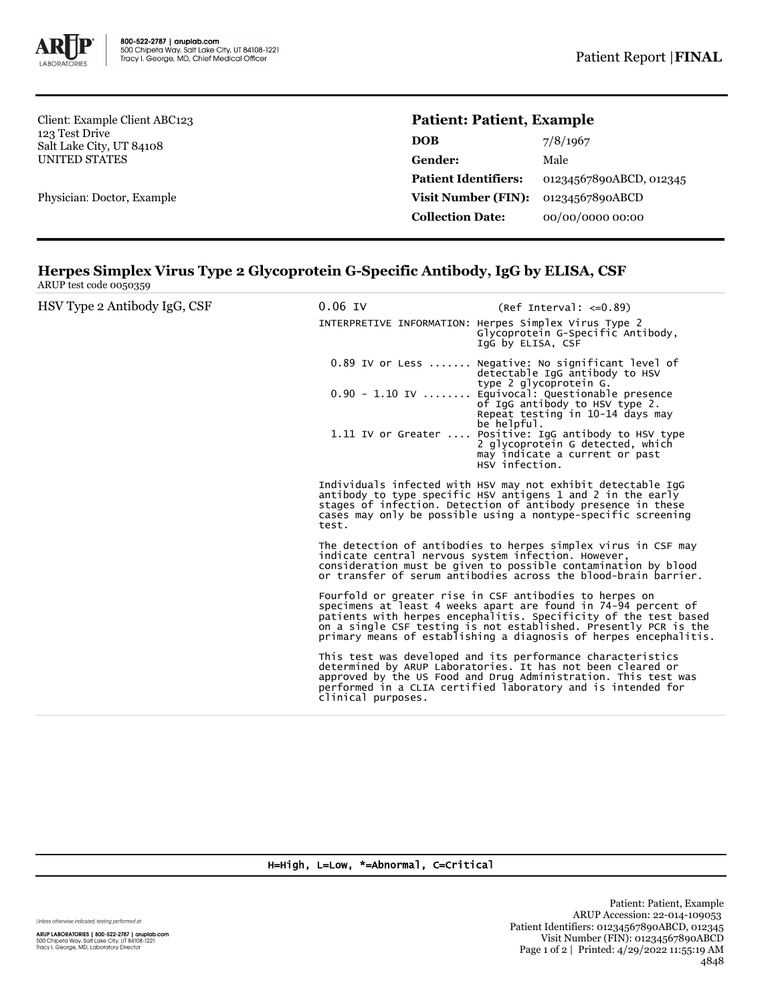

Client: Example Client ABC123 123 Test Drive Salt Lake City, UT 84108 UNITED STATES

Physician: Doctor, Example

## **Patient: Patient, Example**

| 7/8/1967                |
|-------------------------|
| Male                    |
| 01234567890ABCD, 012345 |
| 01234567890ABCD         |
| 00/00/0000 00:00        |
|                         |

## **Herpes Simplex Virus Type 2 Glycoprotein G-Specific Antibody, IgG by ELISA, CSF** ARUP test code 0050359

| HSV Type 2 Antibody IgG, CSF | $0.06$ IV          | $(Ref Interval: < = 0.89)$<br>INTERPRETIVE INFORMATION: Herpes Simplex Virus Type 2<br>Glycoprotein G-Specific Antibody,<br>IqG by ELISA, CSF                                                                                                                                                                                          |
|------------------------------|--------------------|----------------------------------------------------------------------------------------------------------------------------------------------------------------------------------------------------------------------------------------------------------------------------------------------------------------------------------------|
|                              |                    | 0.89 IV or Less  Negative: No significant level of<br>detectable IgG antibody to HSV<br>type 2 glycoprotein G.<br>0.90 - 1.10 IV  Equivocal: Questionable presence<br>of IqG antibody to HSV type 2.<br>Repeat testing in 10-14 days may<br>be helpful.                                                                                |
|                              |                    | 1.11 IV or Greater  Positive: IgG antibody to HSV type<br>2 glycoprotein G detected, which<br>may indicate a current or past<br>HSV infection.                                                                                                                                                                                         |
|                              | test.              | Individuals infected with HSV may not exhibit detectable IgG<br>antibody to type specific HSV antigens 1 and 2 in the early<br>stages of infection. Detection of antibody presence in these<br>cases may only be possible using a nontype-specific screening                                                                           |
|                              |                    | The detection of antibodies to herpes simplex virus in CSF may<br>indicate central nervous system infection. However,<br>consideration must be given to possible contamination by blood<br>or transfer of serum antibodies across the blood-brain barrier.                                                                             |
|                              |                    | Fourfold or greater rise in CSF antibodies to herpes on<br>specimens at least 4 weeks apart are found in 74-94 percent of<br>patients with herpes encephalitis. Specificity of the test based<br>on a single CSF testing is not established. Presently PCR is the<br>primary means of establishing a diagnosis of herpes encephalitis. |
|                              | clinical purposes. | This test was developed and its performance characteristics<br>determined by ARUP Laboratories. It has not been cleared or<br>approved by the US Food and Drug Administration. This test was<br>performed in a CLIA certified laboratory and is intended for                                                                           |

## H=High, L=Low, \*=Abnormal, C=Critical

Unless otherwise indicated, testing performed at:

**ARUP LABORATORIES | 800-522-2787 | aruplab.com**<br>500 Chipeta Way, Salt Lake City, UT 84108-1221<br>Tracy I. George, MD, Laboratory Director

Patient: Patient, Example ARUP Accession: 22-014-109053 Patient Identifiers: 01234567890ABCD, 012345 Visit Number (FIN): 01234567890ABCD Page 1 of 2 | Printed: 4/29/2022 11:55:19 AM 4848